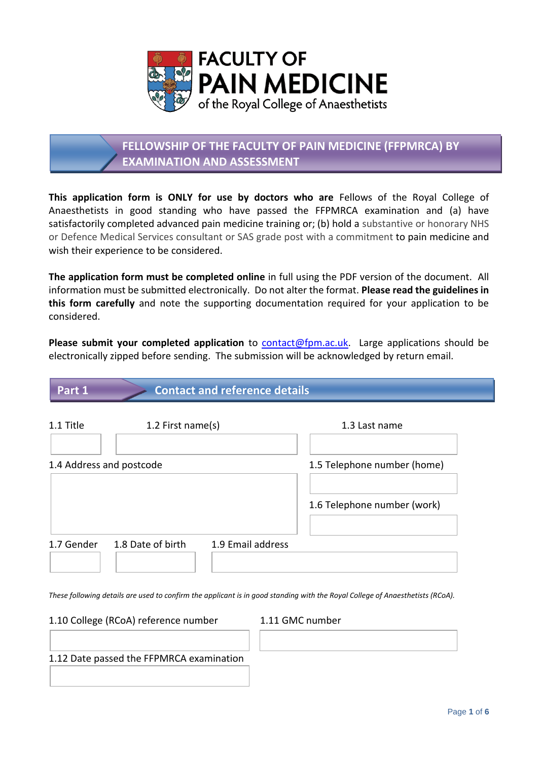

# **FELLOWSHIP OF THE FACULTY OF PAIN MEDICINE (FFPMRCA) BY EXAMINATION AND ASSESSMENT**

**This application form is ONLY for use by doctors who are** Fellows of the Royal College of Anaesthetists in good standing who have passed the FFPMRCA examination and (a) have satisfactorily completed advanced pain medicine training or; (b) hold a substantive or honorary NHS or Defence Medical Services consultant or SAS grade post with a commitment to pain medicine and wish their experience to be considered.

**The application form must be completed online** in full using the PDF version of the document. All information must be submitted electronically. Do not alter the format. **Please read the guidelines in this form carefully** and note the supporting documentation required for your application to be considered.

**Please submit your completed application** to [contact@fpm.ac.uk.](mailto:contact@fpm.ac.uk) Large applications should be electronically zipped before sending. The submission will be acknowledged by return email.

## **Part 1 Contact and reference details**

| 1.1 Title  | 1.2 First name(s)        |                   | 1.3 Last name               |  |
|------------|--------------------------|-------------------|-----------------------------|--|
|            |                          |                   |                             |  |
|            | 1.4 Address and postcode |                   | 1.5 Telephone number (home) |  |
|            |                          |                   | 1.6 Telephone number (work) |  |
|            |                          |                   |                             |  |
| 1.7 Gender | 1.8 Date of birth        | 1.9 Email address |                             |  |

*These following details are used to confirm the applicant is in good standing with the Royal College of Anaesthetists (RCoA).*

1.10 College (RCoA) reference number 1.11 GMC number

1.12 Date passed the FFPMRCA examination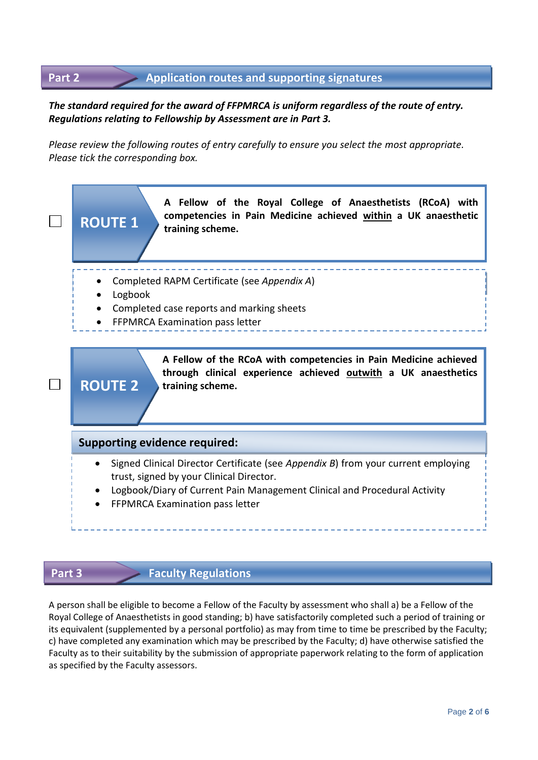### **Application routes and supporting signatures Part 2**

### *The standard required for the award of FFPMRCA is uniform regardless of the route of entry. Regulations relating to Fellowship by Assessment are in Part 3.*

*Please review the following routes of entry carefully to ensure you select the most appropriate. Please tick the corresponding box.*



### **Part 3 Faculty Regulations**

A person shall be eligible to become a Fellow of the Faculty by assessment who shall a) be a Fellow of the Royal College of Anaesthetists in good standing; b) have satisfactorily completed such a period of training or its equivalent (supplemented by a personal portfolio) as may from time to time be prescribed by the Faculty; c) have completed any examination which may be prescribed by the Faculty; d) have otherwise satisfied the Faculty as to their suitability by the submission of appropriate paperwork relating to the form of application as specified by the Faculty assessors.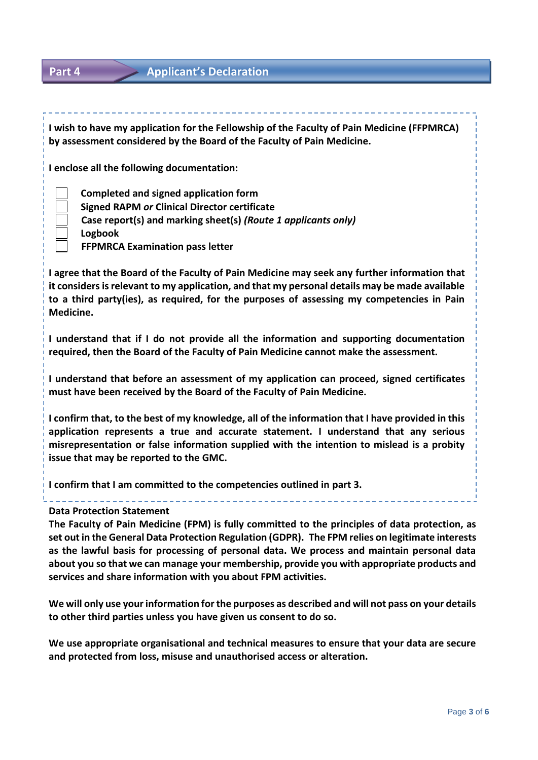### **Part 4 Applicant's Declaration**

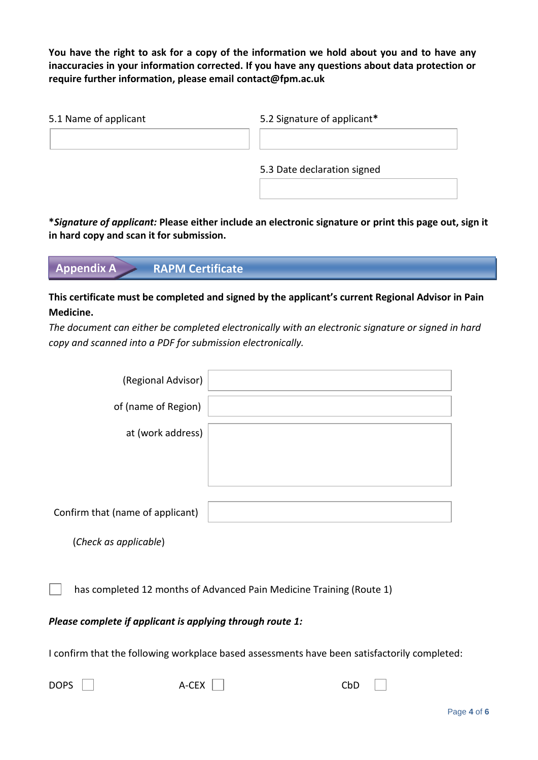**You have the right to ask for a copy of the information we hold about you and to have any inaccuracies in your information corrected. If you have any questions about data protection or require further information, please email [contact@fpm.ac.uk](mailto:contact@fpm.ac.uk)**

| 5.1 Name of applicant | 5.2 Signature of applicant* |
|-----------------------|-----------------------------|
|                       |                             |
|                       | 5.3 Date declaration signed |
|                       |                             |

**\****Signature of applicant:* **Please either include an electronic signature or print this page out, sign it in hard copy and scan it for submission.**

**Appendix A RAPM Certificate**

### **This certificate must be completed and signed by the applicant's current Regional Advisor in Pain Medicine.**

*The document can either be completed electronically with an electronic signature or signed in hard copy and scanned into a PDF for submission electronically.*

| (Regional Advisor)               |  |
|----------------------------------|--|
|                                  |  |
| of (name of Region)              |  |
|                                  |  |
| at (work address)                |  |
|                                  |  |
|                                  |  |
|                                  |  |
|                                  |  |
|                                  |  |
|                                  |  |
|                                  |  |
|                                  |  |
| Confirm that (name of applicant) |  |
|                                  |  |
|                                  |  |

(*Check as applicable*)

has completed 12 months of Advanced Pain Medicine Training (Route 1)

### *Please complete if applicant is applying through route 1:*

I confirm that the following workplace based assessments have been satisfactorily completed:

| DOPS $\Box$<br>A-CEX $\Box$<br>CbD |  |  |
|------------------------------------|--|--|
|------------------------------------|--|--|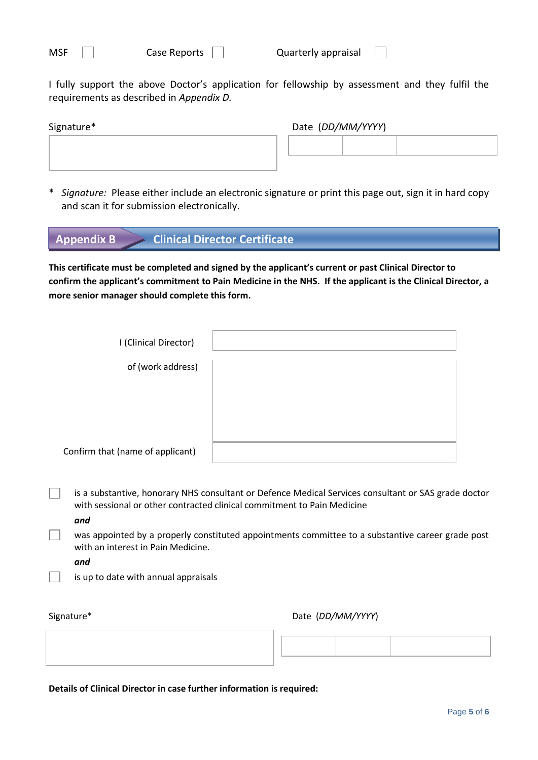I fully support the above Doctor's application for fellowship by assessment and they fulfil the requirements as described in *Appendix D.*

| Signature* |  | Date (DD/MM/YYYY) |  |  |
|------------|--|-------------------|--|--|
|            |  |                   |  |  |
|            |  |                   |  |  |

\* *Signature:* Please either include an electronic signature or print this page out, sign it in hard copy and scan it for submission electronically.

| $\triangleright$ Clinical Director Certificate<br><b>Appendix B</b> |
|---------------------------------------------------------------------|
|---------------------------------------------------------------------|

**This certificate must be completed and signed by the applicant's current or past Clinical Director to confirm the applicant's commitment to Pain Medicine in the NHS. If the applicant is the Clinical Director, a more senior manager should complete this form.** 

| I (Clinical Director)            |  |
|----------------------------------|--|
| of (work address)                |  |
|                                  |  |
|                                  |  |
|                                  |  |
| Confirm that (name of applicant) |  |

- **is a substantive, honorary NHS consultant or Defence Medical Services consultant or SAS grade doctor** with sessional or other contracted clinical commitment to Pain Medicine
	- *and*
	- was appointed by a properly constituted appointments committee to a substantive career grade post with an interest in Pain Medicine.

*and*

is up to date with annual appraisals

Signature\* Date (*DD/MM/YYYY*)

**Details of Clinical Director in case further information is required:**